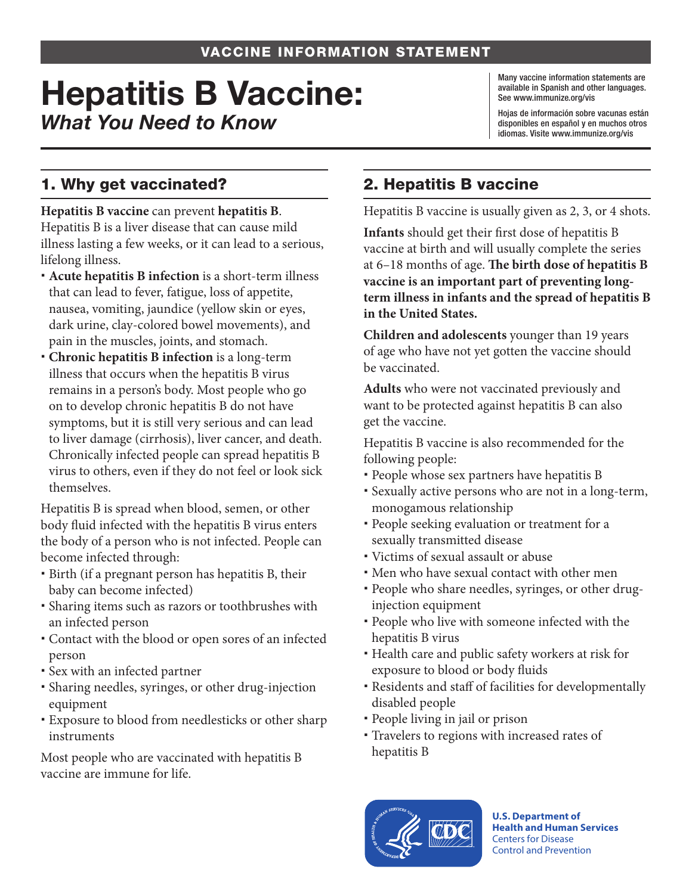# Hepatitis B Vaccine: *What You Need to Know*

Many vaccine information statements are available in Spanish and other languages. See www.immunize.org/vis

Hojas de información sobre vacunas están disponibles en español y en muchos otros idiomas. Visite www.immunize.org/vis

## 1. Why get vaccinated?

**Hepatitis B vaccine** can prevent **hepatitis B**. Hepatitis B is a liver disease that can cause mild illness lasting a few weeks, or it can lead to a serious, lifelong illness.

- **Acute hepatitis B infection** is a short-term illness that can lead to fever, fatigue, loss of appetite, nausea, vomiting, jaundice (yellow skin or eyes, dark urine, clay-colored bowel movements), and pain in the muscles, joints, and stomach.
- **Chronic hepatitis B infection** is a long-term illness that occurs when the hepatitis B virus remains in a person's body. Most people who go on to develop chronic hepatitis B do not have symptoms, but it is still very serious and can lead to liver damage (cirrhosis), liver cancer, and death. Chronically infected people can spread hepatitis B virus to others, even if they do not feel or look sick themselves.

Hepatitis B is spread when blood, semen, or other body fluid infected with the hepatitis B virus enters the body of a person who is not infected. People can become infected through:

- Birth (if a pregnant person has hepatitis B, their baby can become infected)
- Sharing items such as razors or toothbrushes with an infected person
- Contact with the blood or open sores of an infected person
- Sex with an infected partner
- Sharing needles, syringes, or other drug-injection equipment
- Exposure to blood from needlesticks or other sharp instruments

Most people who are vaccinated with hepatitis B vaccine are immune for life.

# 2. Hepatitis B vaccine

Hepatitis B vaccine is usually given as 2, 3, or 4 shots.

**Infants** should get their first dose of hepatitis B vaccine at birth and will usually complete the series at 6–18 months of age. **The birth dose of hepatitis B vaccine is an important part of preventing longterm illness in infants and the spread of hepatitis B in the United States.**

**Children and adolescents** younger than 19 years of age who have not yet gotten the vaccine should be vaccinated.

**Adults** who were not vaccinated previously and want to be protected against hepatitis B can also get the vaccine.

Hepatitis B vaccine is also recommended for the following people:

- People whose sex partners have hepatitis B
- Sexually active persons who are not in a long-term, monogamous relationship
- People seeking evaluation or treatment for a sexually transmitted disease
- Victims of sexual assault or abuse
- Men who have sexual contact with other men
- People who share needles, syringes, or other druginjection equipment
- People who live with someone infected with the hepatitis B virus
- Health care and public safety workers at risk for exposure to blood or body fluids
- Residents and staff of facilities for developmentally disabled people
- People living in jail or prison
- Travelers to regions with increased rates of hepatitis B



**U.S. Department of Health and Human Services**  Centers for Disease Control and Prevention